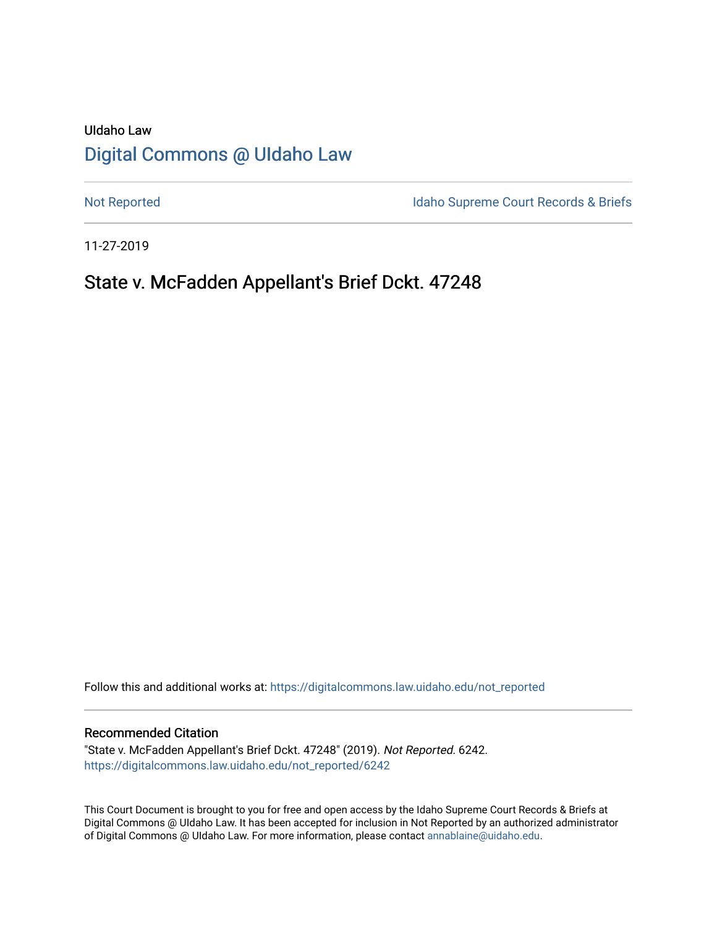# UIdaho Law [Digital Commons @ UIdaho Law](https://digitalcommons.law.uidaho.edu/)

[Not Reported](https://digitalcommons.law.uidaho.edu/not_reported) **Idaho Supreme Court Records & Briefs** 

11-27-2019

# State v. McFadden Appellant's Brief Dckt. 47248

Follow this and additional works at: [https://digitalcommons.law.uidaho.edu/not\\_reported](https://digitalcommons.law.uidaho.edu/not_reported?utm_source=digitalcommons.law.uidaho.edu%2Fnot_reported%2F6242&utm_medium=PDF&utm_campaign=PDFCoverPages) 

#### Recommended Citation

"State v. McFadden Appellant's Brief Dckt. 47248" (2019). Not Reported. 6242. [https://digitalcommons.law.uidaho.edu/not\\_reported/6242](https://digitalcommons.law.uidaho.edu/not_reported/6242?utm_source=digitalcommons.law.uidaho.edu%2Fnot_reported%2F6242&utm_medium=PDF&utm_campaign=PDFCoverPages)

This Court Document is brought to you for free and open access by the Idaho Supreme Court Records & Briefs at Digital Commons @ UIdaho Law. It has been accepted for inclusion in Not Reported by an authorized administrator of Digital Commons @ UIdaho Law. For more information, please contact [annablaine@uidaho.edu](mailto:annablaine@uidaho.edu).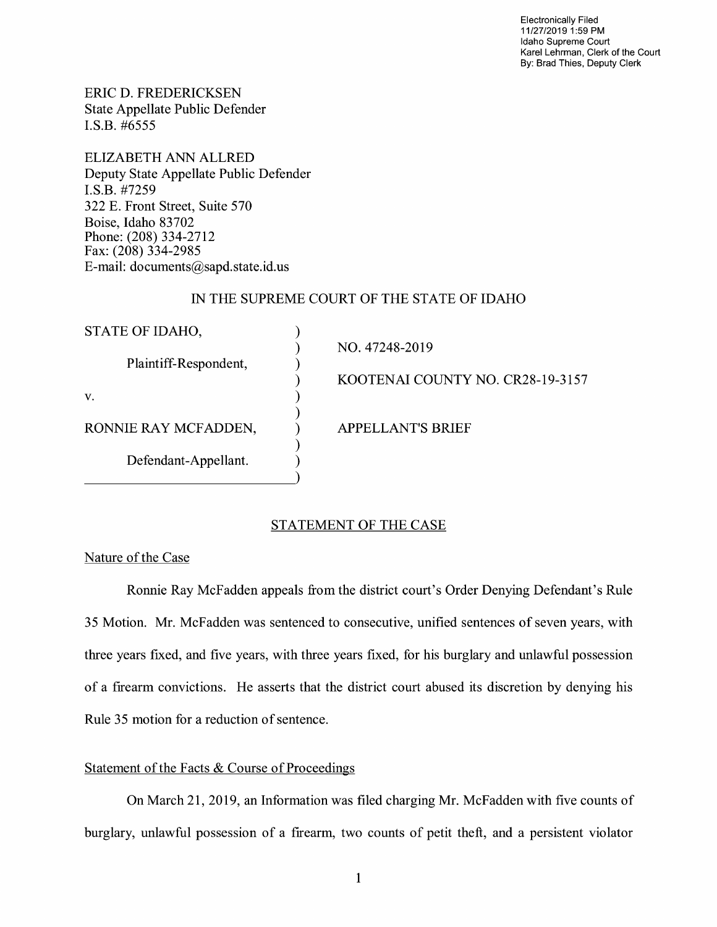Electronically Filed 11/27/2019 1 :59 PM Idaho Supreme Court Karel Lehrman, Clerk of the Court By: Brad Thies, Deputy Clerk

ERIC D. FREDERICKSEN State Appellate Public Defender I.S.B. #6555

ELIZABETH ANN ALLRED Deputy State Appellate Public Defender I.S.B. #7259 322 E. Front Street, Suite 570 Boise, Idaho 83702 Phone: (208) 334-2712 Fax: (208) 334-2985 E-mail: documents@sapd.state.id. us

## IN THE SUPREME COURT OF THE STATE OF IDAHO

| STATE OF IDAHO,       |                                  |
|-----------------------|----------------------------------|
| Plaintiff-Respondent, | NO. 47248-2019                   |
|                       | KOOTENAI COUNTY NO. CR28-19-3157 |
| V.                    |                                  |
| RONNIE RAY MCFADDEN,  | <b>APPELLANT'S BRIEF</b>         |
| Defendant-Appellant.  |                                  |
|                       |                                  |

#### STATEMENT OF THE CASE

### Nature of the Case

Ronnie Ray McFadden appeals from the district court's Order Denying Defendant's Rule 35 Motion. Mr. McFadden was sentenced to consecutive, unified sentences of seven years, with three years fixed, and five years, with three years fixed, for his burglary and unlawful possession of a firearm convictions. He asserts that the district court abused its discretion by denying his Rule 35 motion for a reduction of sentence.

### Statement of the Facts & Course of Proceedings

On March 21, 2019, an Information was filed charging Mr. McFadden with five counts of burglary, unlawful possession of a firearm, two counts of petit theft, and a persistent violator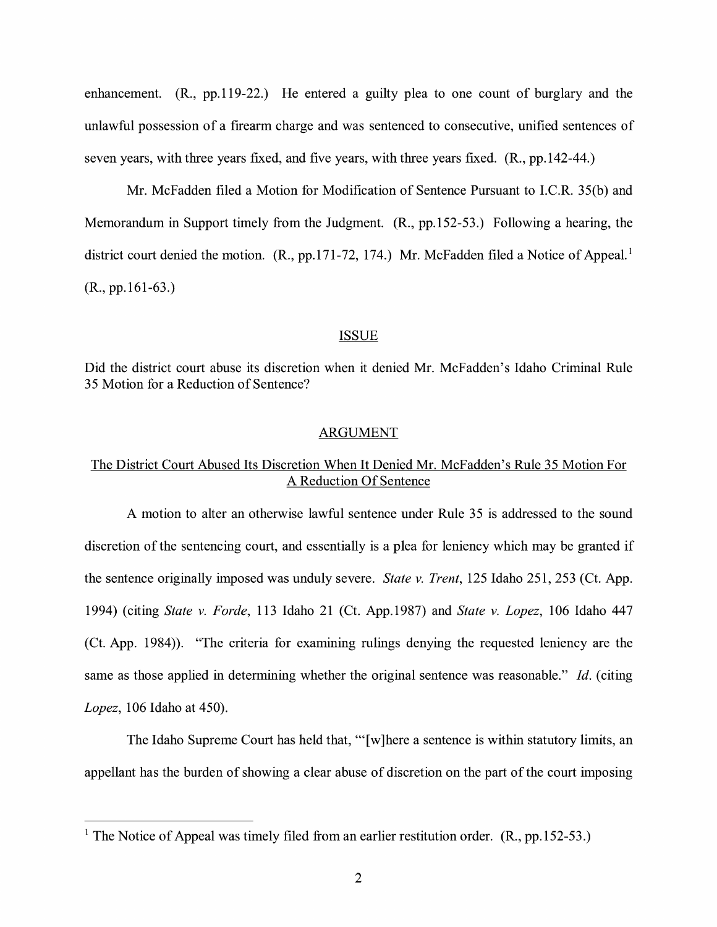enhancement. (R., pp.119-22.) He entered a guilty plea to one count of burglary and the unlawful possession of a firearm charge and was sentenced to consecutive, unified sentences of seven years, with three years fixed, and five years, with three years fixed. (R., pp.142-44.)

Mr. McFadden filed a Motion for Modification of Sentence Pursuant to I.C.R. 35(b) and Memorandum in Support timely from the Judgment. (R., pp.152-53.) Following a hearing, the district court denied the motion. (R., pp.171-72, 174.) Mr. McFadden filed a Notice of Appeal.<sup>1</sup> (R., pp.161-63.)

#### ISSUE

Did the district court abuse its discretion when it denied Mr. McFadden's Idaho Criminal Rule 35 Motion for a Reduction of Sentence?

#### ARGUMENT

## The District Court Abused Its Discretion When It Denied Mr. McFadden's Rule 35 Motion For A Reduction Of Sentence

A motion to alter an otherwise lawful sentence under Rule 35 is addressed to the sound discretion of the sentencing court, and essentially is a plea for leniency which may be granted if the sentence originally imposed was unduly severe. *State v. Trent,* 125 Idaho 251, 253 (Ct. App. 1994) (citing *State v. Forde,* 113 Idaho 21 (Ct. App.1987) and *State v. Lopez,* 106 Idaho 447 (Ct. App. 1984)). "The criteria for examining rulings denying the requested leniency are the same as those applied in determining whether the original sentence was reasonable." Id. (citing *Lopez,* 106 Idaho at 450).

The Idaho Supreme Court has held that, " $[w]$  here a sentence is within statutory limits, an appellant has the burden of showing a clear abuse of discretion on the part of the court imposing

<sup>&</sup>lt;sup>1</sup> The Notice of Appeal was timely filed from an earlier restitution order.  $(R, pp.152-53.)$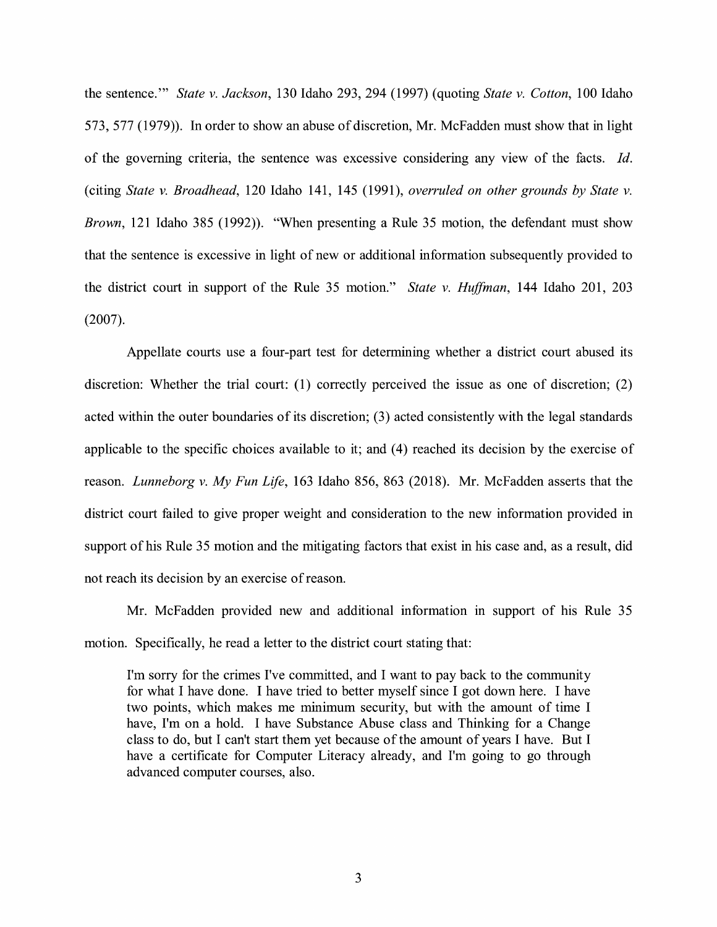the sentence."' *State v. Jackson,* 130 Idaho 293, 294 (1997) (quoting *State v. Cotton,* 100 Idaho 573, 577 (1979)). In order to show an abuse of discretion, Mr. McFadden must show that in light of the governing criteria, the sentence was excessive considering any view of the facts. *Id.*  (citing *State v. Broadhead,* 120 Idaho 141, 145 (1991), *overruled on other grounds by State v. Brown,* 121 Idaho 385 (1992)). "When presenting a Rule 35 motion, the defendant must show that the sentence is excessive in light of new or additional information subsequently provided to the district court in support of the Rule 35 motion." *State v. Huffman,* 144 Idaho 201, 203 (2007).

Appellate courts use a four-part test for determining whether a district court abused its discretion: Whether the trial court: (1) correctly perceived the issue as one of discretion; (2) acted within the outer boundaries of its discretion; (3) acted consistently with the legal standards applicable to the specific choices available to it; and  $(4)$  reached its decision by the exercise of reason. *Lunneborg v. My Fun Life,* 163 Idaho 856, 863 (2018). Mr. McFadden asserts that the district court failed to give proper weight and consideration to the new information provided in support of his Rule 35 motion and the mitigating factors that exist in his case and, as a result, did not reach its decision by an exercise of reason.

Mr. McFadden provided new and additional information in support of his Rule 35 motion. Specifically, he read a letter to the district court stating that:

I'm sorry for the crimes I've committed, and I want to pay back to the community for what I have done. I have tried to better myself since I got down here. I have two points, which makes me minimum security, but with the amount of time I have, I'm on a hold. I have Substance Abuse class and Thinking for a Change class to do, but I can't start them yet because of the amount of years I have. But I have a certificate for Computer Literacy already, and I'm going to go through advanced computer courses, also.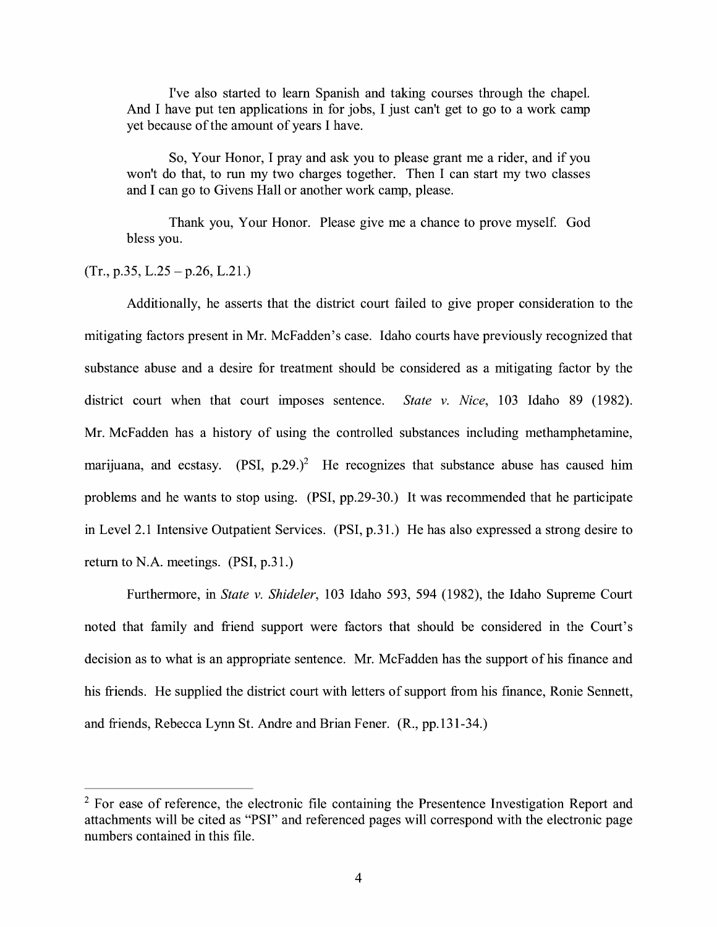I've also started to learn Spanish and taking courses through the chapel. And I have put ten applications in for jobs, I just can't get to go to a work camp yet because of the amount of years I have.

So, Your Honor, I pray and ask you to please grant me a rider, and if you won't do that, to run my two charges together. Then I can start my two classes and I can go to Givens Hall or another work camp, please.

Thank you, Your Honor. Please give me a chance to prove myself. God bless you.

 $(Tr., p.35, L.25 - p.26, L.21.)$ 

Additionally, he asserts that the district court failed to give proper consideration to the mitigating factors present in Mr. McFadden's case. Idaho courts have previously recognized that substance abuse and a desire for treatment should be considered as a mitigating factor by the district court when that court imposes sentence. *State v. Nice,* 103 Idaho 89 (1982). Mr. McFadden has a history of using the controlled substances including methamphetamine, marijuana, and ecstasy. (PSI,  $p.29.$ )<sup>2</sup> He recognizes that substance abuse has caused him problems and he wants to stop using. (PSI, pp.29-30.) It was recommended that he participate in Level 2.1 Intensive Outpatient Services. (PSI, p.31.) He has also expressed a strong desire to return to N.A. meetings.  $(PSI, p.31.)$ 

Furthermore, in *State v. Shideler,* 103 Idaho 593, 594 (1982), the Idaho Supreme Court noted that family and friend support were factors that should be considered in the Court's decision as to what is an appropriate sentence. Mr. McFadden has the support of his finance and his friends. He supplied the district court with letters of support from his finance, Ronie Sennett, and friends, Rebecca Lynn St. Andre and Brian Fener. (R., pp.131-34.)

 $2$  For ease of reference, the electronic file containing the Presentence Investigation Report and attachments will be cited as "PSI" and referenced pages will correspond with the electronic page numbers contained in this file.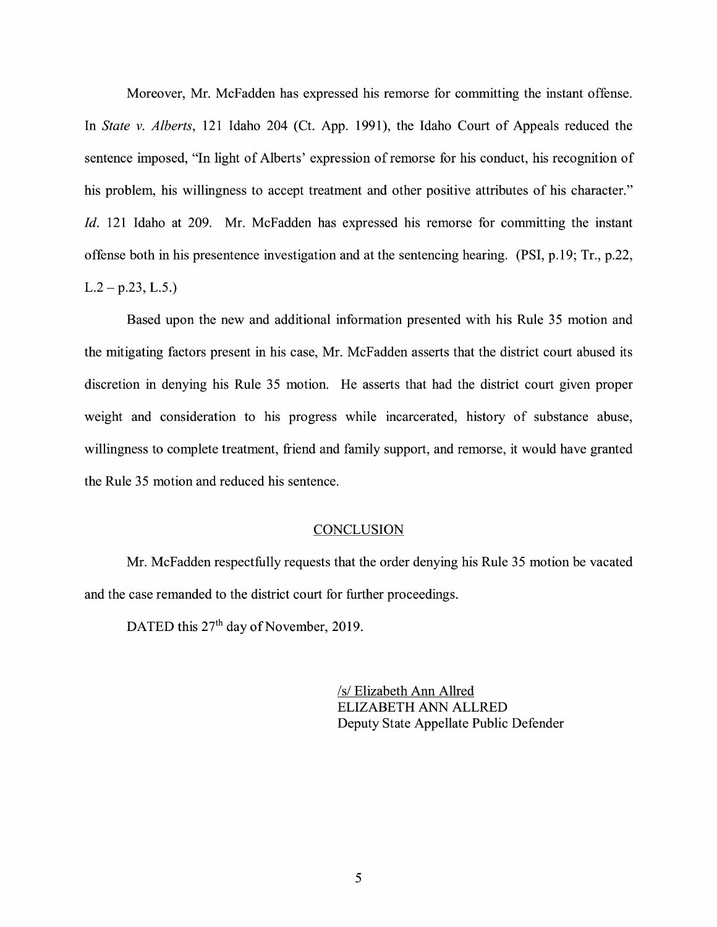Moreover, Mr. McFadden has expressed his remorse for committing the instant offense. In *State v. Alberts,* 121 Idaho 204 (Ct. App. 1991), the Idaho Court of Appeals reduced the sentence imposed, "In light of Alberts' expression of remorse for his conduct, his recognition of his problem, his willingness to accept treatment and other positive attributes of his character." *Id.* 121 Idaho at 209. Mr. McFadden has expressed his remorse for committing the instant offense both in his presentence investigation and at the sentencing hearing. (PSI, p.19; Tr., p.22,  $L.2 - p.23$ ,  $L.5$ .)

Based upon the new and additional information presented with his Rule 35 motion and the mitigating factors present in his case, Mr. McFadden asserts that the district court abused its discretion in denying his Rule 35 motion. He asserts that had the district court given proper weight and consideration to his progress while incarcerated, history of substance abuse, willingness to complete treatment, friend and family support, and remorse, it would have granted the Rule 35 motion and reduced his sentence.

#### **CONCLUSION**

Mr. McFadden respectfully requests that the order denying his Rule 35 motion be vacated and the case remanded to the district court for further proceedings.

DATED this 27<sup>th</sup> day of November, 2019.

*Isl* Elizabeth Ann Allred ELIZABETH ANN ALLRED Deputy State Appellate Public Defender